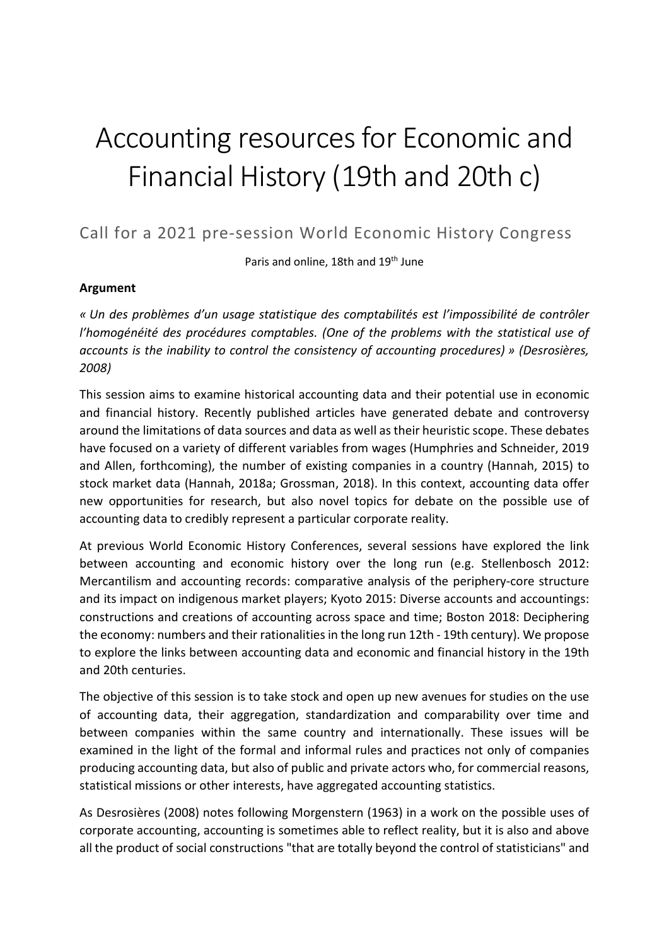# Accounting resources for Economic and Financial History (19th and 20th c)

Call for a 2021 pre-session World Economic History Congress

Paris and online, 18th and 19<sup>th</sup> June

# Argument

« Un des problèmes d'un usage statistique des comptabilités est l'impossibilité de contrôler l'homogénéité des procédures comptables. (One of the problems with the statistical use of accounts is the inability to control the consistency of accounting procedures) » (Desrosières, 2008)

This session aims to examine historical accounting data and their potential use in economic and financial history. Recently published articles have generated debate and controversy around the limitations of data sources and data as well as their heuristic scope. These debates have focused on a variety of different variables from wages (Humphries and Schneider, 2019 and Allen, forthcoming), the number of existing companies in a country (Hannah, 2015) to stock market data (Hannah, 2018a; Grossman, 2018). In this context, accounting data offer new opportunities for research, but also novel topics for debate on the possible use of accounting data to credibly represent a particular corporate reality.

At previous World Economic History Conferences, several sessions have explored the link between accounting and economic history over the long run (e.g. Stellenbosch 2012: Mercantilism and accounting records: comparative analysis of the periphery-core structure and its impact on indigenous market players; Kyoto 2015: Diverse accounts and accountings: constructions and creations of accounting across space and time; Boston 2018: Deciphering the economy: numbers and their rationalities in the long run 12th - 19th century). We propose to explore the links between accounting data and economic and financial history in the 19th and 20th centuries.

The objective of this session is to take stock and open up new avenues for studies on the use of accounting data, their aggregation, standardization and comparability over time and between companies within the same country and internationally. These issues will be examined in the light of the formal and informal rules and practices not only of companies producing accounting data, but also of public and private actors who, for commercial reasons, statistical missions or other interests, have aggregated accounting statistics.

As Desrosières (2008) notes following Morgenstern (1963) in a work on the possible uses of corporate accounting, accounting is sometimes able to reflect reality, but it is also and above all the product of social constructions "that are totally beyond the control of statisticians" and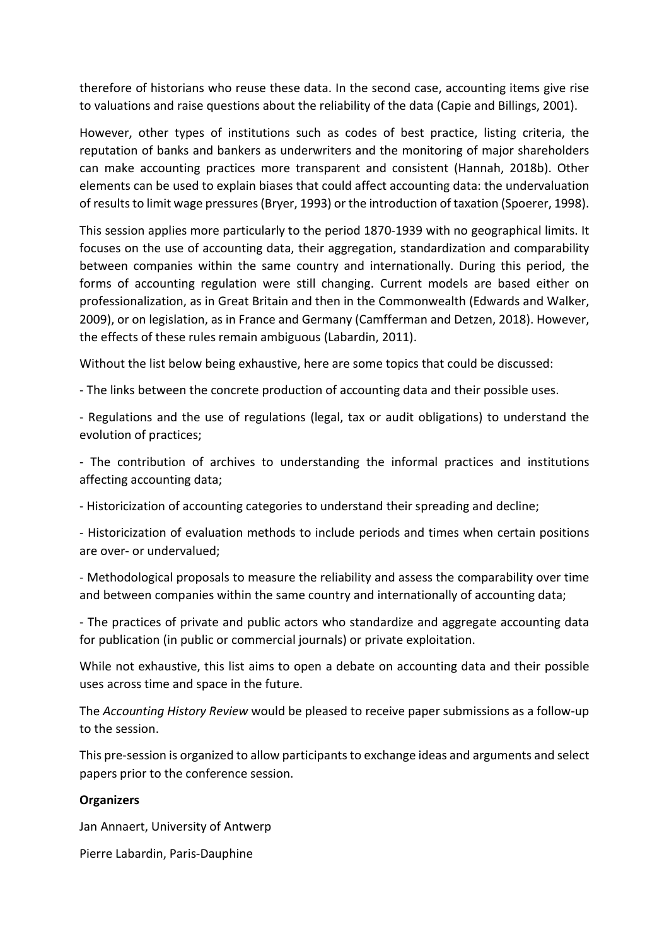therefore of historians who reuse these data. In the second case, accounting items give rise to valuations and raise questions about the reliability of the data (Capie and Billings, 2001).

However, other types of institutions such as codes of best practice, listing criteria, the reputation of banks and bankers as underwriters and the monitoring of major shareholders can make accounting practices more transparent and consistent (Hannah, 2018b). Other elements can be used to explain biases that could affect accounting data: the undervaluation of results to limit wage pressures (Bryer, 1993) or the introduction of taxation (Spoerer, 1998).

This session applies more particularly to the period 1870-1939 with no geographical limits. It focuses on the use of accounting data, their aggregation, standardization and comparability between companies within the same country and internationally. During this period, the forms of accounting regulation were still changing. Current models are based either on professionalization, as in Great Britain and then in the Commonwealth (Edwards and Walker, 2009), or on legislation, as in France and Germany (Camfferman and Detzen, 2018). However, the effects of these rules remain ambiguous (Labardin, 2011).

Without the list below being exhaustive, here are some topics that could be discussed:

- The links between the concrete production of accounting data and their possible uses.

- Regulations and the use of regulations (legal, tax or audit obligations) to understand the evolution of practices;

- The contribution of archives to understanding the informal practices and institutions affecting accounting data;

- Historicization of accounting categories to understand their spreading and decline;

- Historicization of evaluation methods to include periods and times when certain positions are over- or undervalued;

- Methodological proposals to measure the reliability and assess the comparability over time and between companies within the same country and internationally of accounting data;

- The practices of private and public actors who standardize and aggregate accounting data for publication (in public or commercial journals) or private exploitation.

While not exhaustive, this list aims to open a debate on accounting data and their possible uses across time and space in the future.

The Accounting History Review would be pleased to receive paper submissions as a follow-up to the session.

This pre-session is organized to allow participants to exchange ideas and arguments and select papers prior to the conference session.

## **Organizers**

Jan Annaert, University of Antwerp

Pierre Labardin, Paris-Dauphine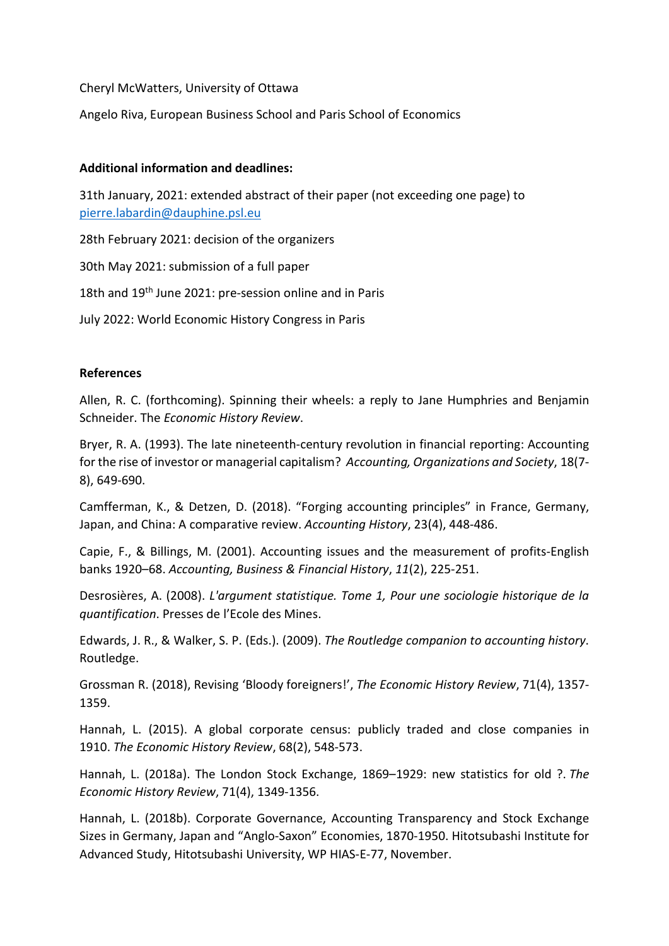Cheryl McWatters, University of Ottawa

Angelo Riva, European Business School and Paris School of Economics

### Additional information and deadlines:

31th January, 2021: extended abstract of their paper (not exceeding one page) to pierre.labardin@dauphine.psl.eu

28th February 2021: decision of the organizers

30th May 2021: submission of a full paper

18th and 19<sup>th</sup> June 2021: pre-session online and in Paris

July 2022: World Economic History Congress in Paris

### References

Allen, R. C. (forthcoming). Spinning their wheels: a reply to Jane Humphries and Benjamin Schneider. The Economic History Review.

Bryer, R. A. (1993). The late nineteenth-century revolution in financial reporting: Accounting for the rise of investor or managerial capitalism? Accounting, Organizations and Society, 18(7- 8), 649-690.

Camfferman, K., & Detzen, D. (2018). "Forging accounting principles" in France, Germany, Japan, and China: A comparative review. Accounting History, 23(4), 448-486.

Capie, F., & Billings, M. (2001). Accounting issues and the measurement of profits-English banks 1920–68. Accounting, Business & Financial History, 11(2), 225-251.

Desrosières, A. (2008). L'argument statistique. Tome 1, Pour une sociologie historique de la quantification. Presses de l'Ecole des Mines.

Edwards, J. R., & Walker, S. P. (Eds.). (2009). The Routledge companion to accounting history. Routledge.

Grossman R. (2018), Revising 'Bloody foreigners!', The Economic History Review, 71(4), 1357- 1359.

Hannah, L. (2015). A global corporate census: publicly traded and close companies in 1910. The Economic History Review, 68(2), 548-573.

Hannah, L. (2018a). The London Stock Exchange, 1869–1929: new statistics for old ?. The Economic History Review, 71(4), 1349-1356.

Hannah, L. (2018b). Corporate Governance, Accounting Transparency and Stock Exchange Sizes in Germany, Japan and "Anglo-Saxon" Economies, 1870-1950. Hitotsubashi Institute for Advanced Study, Hitotsubashi University, WP HIAS-E-77, November.